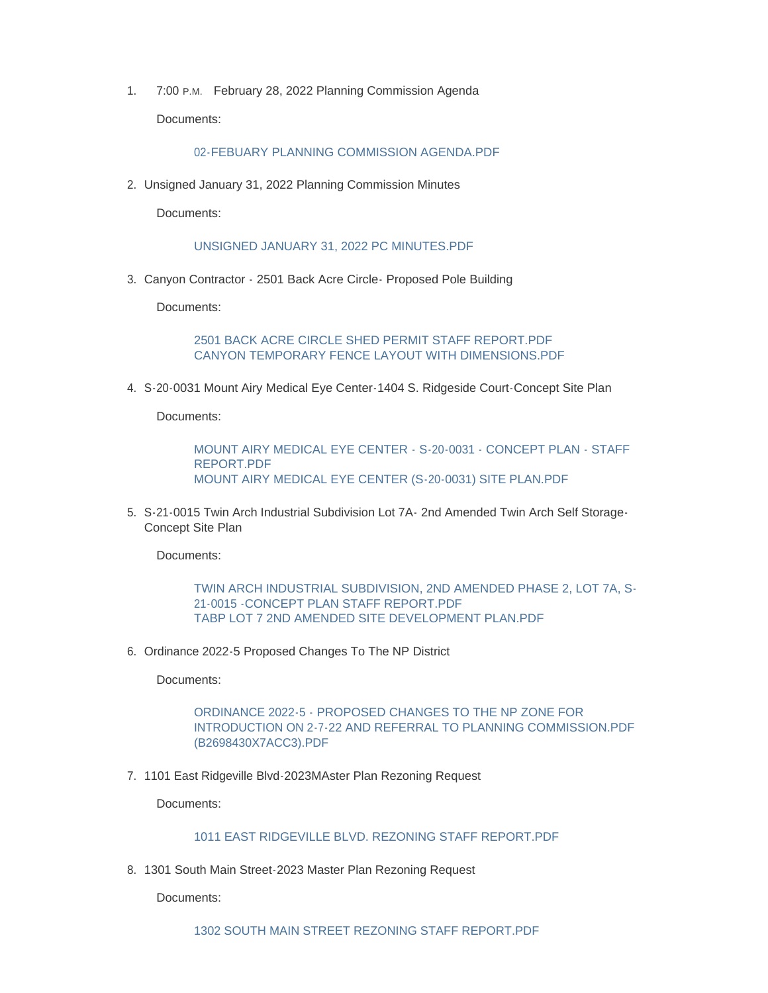1. 7:00 P.M. February 28, 2022 Planning Commission Agenda Documents:

[02-FEBUARY PLANNING COMMISSION AGENDA.PDF](https://www.mountairymd.org/AgendaCenter/ViewFile/Item/1578?fileID=36790)

2. Unsigned January 31, 2022 Planning Commission Minutes

Documents:

[UNSIGNED JANUARY 31, 2022 PC MINUTES.PDF](https://www.mountairymd.org/AgendaCenter/ViewFile/Item/1579?fileID=36791)

3. Canyon Contractor - 2501 Back Acre Circle - Proposed Pole Building

Documents:

[2501 BACK ACRE CIRCLE SHED PERMIT STAFF REPORT.PDF](https://www.mountairymd.org/AgendaCenter/ViewFile/Item/1580?fileID=36792) [CANYON TEMPORARY FENCE LAYOUT WITH DIMENSIONS.PDF](https://www.mountairymd.org/AgendaCenter/ViewFile/Item/1580?fileID=36793)

4. S-20-0031 Mount Airy Medical Eye Center-1404 S. Ridgeside Court-Concept Site Plan

Documents:

[MOUNT AIRY MEDICAL EYE CENTER - S-20-0031 - CONCEPT PLAN - STAFF](https://www.mountairymd.org/AgendaCenter/ViewFile/Item/1581?fileID=36794)  REPORT.PDF [MOUNT AIRY MEDICAL EYE CENTER \(S-20-0031\) SITE PLAN.PDF](https://www.mountairymd.org/AgendaCenter/ViewFile/Item/1581?fileID=36795)

5. S-21-0015 Twin Arch Industrial Subdivision Lot 7A- 2nd Amended Twin Arch Self Storage-Concept Site Plan

Documents:

[TWIN ARCH INDUSTRIAL SUBDIVISION, 2ND AMENDED PHASE 2, LOT 7A, S-](https://www.mountairymd.org/AgendaCenter/ViewFile/Item/1582?fileID=36796)21-0015 -CONCEPT PLAN STAFF REPORT PDF [TABP LOT 7 2ND AMENDED SITE DEVELOPMENT PLAN.PDF](https://www.mountairymd.org/AgendaCenter/ViewFile/Item/1582?fileID=36797)

6. Ordinance 2022-5 Proposed Changes To The NP District

Documents:

ORDINANCE 2022-5 - PROPOSED CHANGES TO THE NP ZONE FOR [INTRODUCTION ON 2-7-22 AND REFERRAL TO PLANNING COMMISSION.PDF](https://www.mountairymd.org/AgendaCenter/ViewFile/Item/1583?fileID=36798)  (B2698430X7ACC3).PDF

7. 1101 East Ridgeville Blvd-2023MAster Plan Rezoning Request

Documents:

## [1011 EAST RIDGEVILLE BLVD. REZONING STAFF REPORT.PDF](https://www.mountairymd.org/AgendaCenter/ViewFile/Item/1584?fileID=36799)

1301 South Main Street-2023 Master Plan Rezoning Request 8.

Documents: